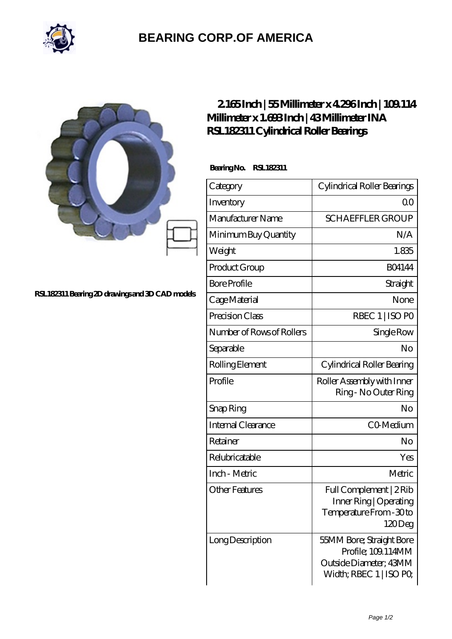

## **[BEARING CORP.OF AMERICA](https://m.bluemondayreview.com)**

|                                                 | 2165Inch   55Millimeter x 4296Inch   109114<br>Millimeter x 1.693Inch   43Millimeter INA<br>RSL182311 Cylindrical Roller Bearings |                                                                                                    |
|-------------------------------------------------|-----------------------------------------------------------------------------------------------------------------------------------|----------------------------------------------------------------------------------------------------|
| RSL182311 Bearing 2D drawings and 3D CAD models | BearingNo.<br>RSL182311                                                                                                           |                                                                                                    |
|                                                 | Category                                                                                                                          | Cylindrical Roller Bearings                                                                        |
|                                                 | Inventory                                                                                                                         | 0 <sup>0</sup>                                                                                     |
|                                                 | Manufacturer Name                                                                                                                 | <b>SCHAEFFLER GROUP</b>                                                                            |
|                                                 | Minimum Buy Quantity                                                                                                              | N/A                                                                                                |
|                                                 | Weight                                                                                                                            | 1.835                                                                                              |
|                                                 | Product Group                                                                                                                     | <b>BO4144</b>                                                                                      |
|                                                 | <b>Bore Profile</b>                                                                                                               | Straight                                                                                           |
|                                                 | Cage Material                                                                                                                     | None                                                                                               |
|                                                 | Precision Class                                                                                                                   | RBEC 1   ISO PO                                                                                    |
|                                                 | Number of Rows of Rollers                                                                                                         | Single Row                                                                                         |
|                                                 | Separable                                                                                                                         | No                                                                                                 |
|                                                 | Rolling Element                                                                                                                   | Cylindrical Roller Bearing                                                                         |
|                                                 | Profile                                                                                                                           | Roller Assembly with Inner<br>Ring - No Outer Ring                                                 |
|                                                 | Snap Ring                                                                                                                         | No                                                                                                 |
|                                                 | Internal Clearance                                                                                                                | CO-Medium                                                                                          |
|                                                 | Retainer                                                                                                                          | No                                                                                                 |
|                                                 | Relubricatable                                                                                                                    | Yes                                                                                                |
|                                                 | Inch - Metric                                                                                                                     | Metric                                                                                             |
|                                                 | <b>Other Features</b>                                                                                                             | Full Complement   2Rib<br>Inner Ring   Operating<br>Temperature From - 30 to<br>120Deg             |
|                                                 | Long Description                                                                                                                  | 55MM Bore; Straight Bore<br>Profile; 109.114MM<br>Outside Diameter; 43MM<br>Width; RBEC 1   ISO PO |